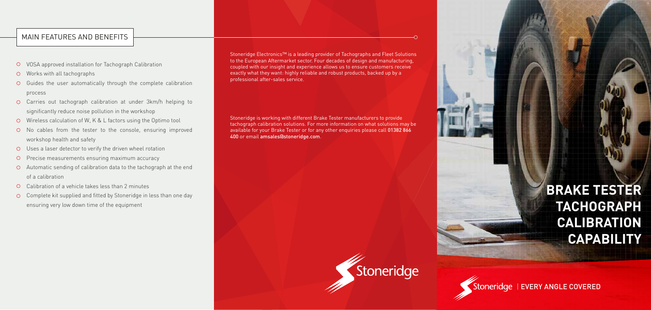Stoneridge Electronics™ is a leading provider of Tachographs and Fleet Solutions to the European Aftermarket sector. Four decades of design and manufacturing, coupled with our insight and experience allows us to ensure customers receive exactly what they want: highly reliable and robust products, backed up by a professional after-sales service.

Stoneridge is working with different Brake Tester manufacturers to provide tachograph calibration solutions. For more information on what solutions may be available for your Brake Tester or for any other enquiries please call 01382 866 400 or email amsales@stoneridge.com.



## MAIN FEATURES AND BENEFITS

- VOSA approved installation for Tachograph Calibration
- Works with all tachographs
- $O$  Guides the user automatically through the complete calibration process
- Carries out tachograph calibration at under 3km/h helping to significantly reduce noise pollution in the workshop
- Wireless calculation of W, K & L factors using the Optimo tool
- No cables from the tester to the console, ensuring improved workshop health and safety
- Uses a laser detector to verify the driven wheel rotation
- Precise measurements ensuring maximum accuracy  $\circ$
- Automatic sending of calibration data to the tachograph at the end of a calibration
- Calibration of a vehicle takes less than 2 minutes
- Complete kit supplied and fitted by Stoneridge in less than one day ensuring very low down time of the equipment

# **BRAKE TESTER TACHOGRAPH CALIBRATION CAPABILITY**

Stoneridge | EVERY ANGLE COVERED